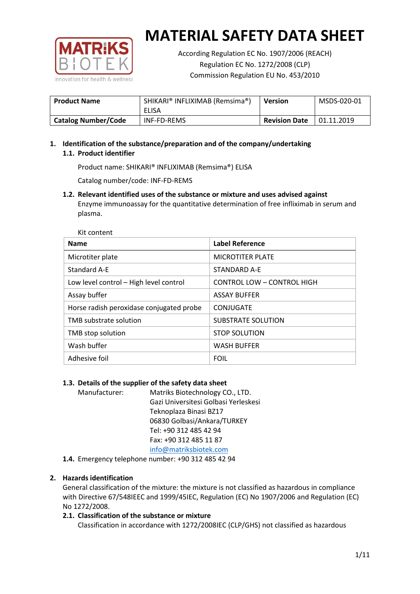

According Regulation EC No. 1907/2006 (REACH) Regulation EC No. 1272/2008 (CLP) Commission Regulation EU No. 453/2010

| <b>Product Name</b>        | SHIKARI® INFLIXIMAB (Remsima®)<br>ELISA | <b>Version</b>       | MSDS-020-01 |
|----------------------------|-----------------------------------------|----------------------|-------------|
| <b>Catalog Number/Code</b> | <b>INF-FD-REMS</b>                      | <b>Revision Date</b> | 01.11.2019  |

# **1. Identification of the substance/preparation and of the company/undertaking 1.1. Product identifier**

Product name: SHIKARI® INFLIXIMAB (Remsima®) ELISA

Catalog number/code: INF-FD-REMS

**1.2. Relevant identified uses of the substance or mixture and uses advised against** Enzyme immunoassay for the quantitative determination of free infliximab in serum and plasma.

| Kit content                              |                            |
|------------------------------------------|----------------------------|
| <b>Name</b>                              | <b>Label Reference</b>     |
| Microtiter plate                         | <b>MICROTITER PLATE</b>    |
| Standard A-E                             | STANDARD A-E               |
| Low level control - High level control   | CONTROL LOW - CONTROL HIGH |
| Assay buffer                             | <b>ASSAY BUFFER</b>        |
| Horse radish peroxidase conjugated probe | CONJUGATE                  |
| TMB substrate solution                   | SUBSTRATE SOLUTION         |
| TMB stop solution                        | <b>STOP SOLUTION</b>       |
| Wash buffer                              | <b>WASH BUFFER</b>         |
| Adhesive foil                            | <b>FOIL</b>                |

# **1.3. Details of the supplier of the safety data sheet**

Manufacturer: Matriks Biotechnology CO., LTD. Gazi Universitesi Golbasi Yerleskesi Teknoplaza Binasi BZ17 06830 Golbasi/Ankara/TURKEY Tel: +90 312 485 42 94 Fax: +90 312 485 11 87 [info@matriksbiotek.com](mailto:info@matriksbiotek.com)

**1.4.** Emergency telephone number: +90 312 485 42 94

# **2. Hazards identification**

General classification of the mixture: the mixture is not classified as hazardous in compliance with Directive 67/548IEEC and 1999/45IEC, Regulation (EC) No 1907/2006 and Regulation (EC) No 1272/2008.

# **2.1. Classification of the substance or mixture**

Classification in accordance with 1272/2008IEC (CLP/GHS) not classified as hazardous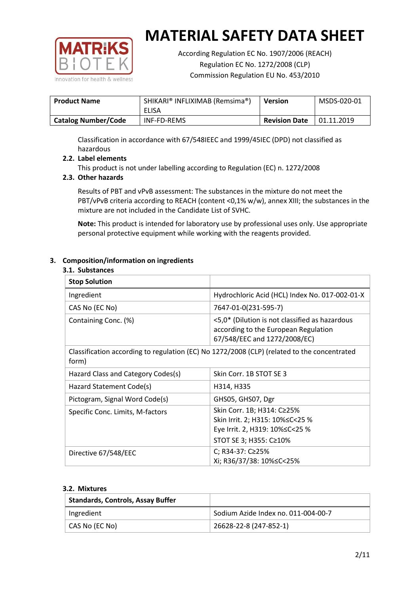

According Regulation EC No. 1907/2006 (REACH) Regulation EC No. 1272/2008 (CLP) Commission Regulation EU No. 453/2010

| <b>Product Name</b>        | SHIKARI® INFLIXIMAB (Remsima®)<br>ELISA | Version              | MSDS-020-01 |
|----------------------------|-----------------------------------------|----------------------|-------------|
| <b>Catalog Number/Code</b> | <b>INF-FD-REMS</b>                      | <b>Revision Date</b> | 01.11.2019  |

Classification in accordance with 67/548IEEC and 1999/45IEC (DPD) not classified as hazardous

# **2.2. Label elements**

This product is not under labelling according to Regulation (EC) n. 1272/2008

### **2.3. Other hazards**

Results of PBT and vPvB assessment: The substances in the mixture do not meet the PBT/vPvB criteria according to REACH (content <0,1% w/w), annex XIII; the substances in the mixture are not included in the Candidate List of SVHC.

**Note:** This product is intended for laboratory use by professional uses only. Use appropriate personal protective equipment while working with the reagents provided.

#### **3. Composition/information on ingredients**

#### **3.1. Substances**

| <b>Stop Solution</b>               |                                                                                                                               |
|------------------------------------|-------------------------------------------------------------------------------------------------------------------------------|
| Ingredient                         | Hydrochloric Acid (HCL) Index No. 017-002-01-X                                                                                |
| CAS No (EC No)                     | 7647-01-0(231-595-7)                                                                                                          |
| Containing Conc. (%)               | <5,0* (Dilution is not classified as hazardous<br>according to the European Regulation<br>67/548/EEC and 1272/2008/EC)        |
| form)                              | Classification according to regulation (EC) No 1272/2008 (CLP) (related to the concentrated                                   |
| Hazard Class and Category Codes(s) | Skin Corr. 1B STOT SE 3                                                                                                       |
| Hazard Statement Code(s)           | H314, H335                                                                                                                    |
| Pictogram, Signal Word Code(s)     | GHS05, GHS07, Dgr                                                                                                             |
| Specific Conc. Limits, M-factors   | Skin Corr. 1B; H314: C≥25%<br>Skin Irrit. 2; H315: 10% ≤ C < 25 %<br>Eye Irrit. 2, H319: 10%≤C<25 %<br>STOT SE 3; H355: C≥10% |
| Directive 67/548/EEC               | C; R34-37: C≥25%<br>Xi; R36/37/38: 10%≤C<25%                                                                                  |

#### **3.2. Mixtures**

| <b>Standards, Controls, Assay Buffer</b> |                                     |
|------------------------------------------|-------------------------------------|
| Ingredient                               | Sodium Azide Index no. 011-004-00-7 |
| CAS No (EC No)                           | 26628-22-8 (247-852-1)              |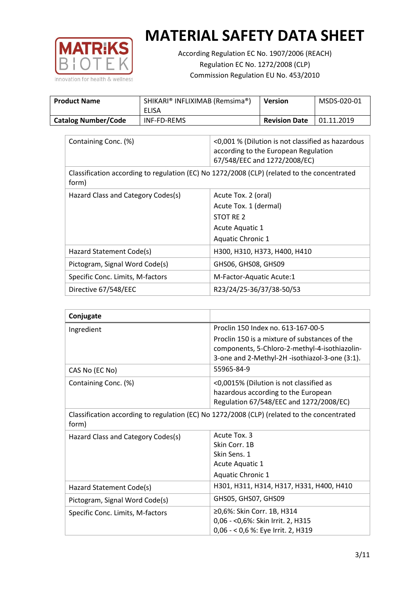

According Regulation EC No. 1907/2006 (REACH) Regulation EC No. 1272/2008 (CLP) Commission Regulation EU No. 453/2010

| <b>Product Name</b>        | SHIKARI® INFLIXIMAB (Remsima®)<br>ELISA | Version              | MSDS-020-01 |
|----------------------------|-----------------------------------------|----------------------|-------------|
| <b>Catalog Number/Code</b> | INF-FD-REMS                             | <b>Revision Date</b> | 01.11.2019  |

| Containing Conc. (%)                                                                                 | <0,001 % (Dilution is not classified as hazardous<br>according to the European Regulation<br>67/548/EEC and 1272/2008/EC) |  |
|------------------------------------------------------------------------------------------------------|---------------------------------------------------------------------------------------------------------------------------|--|
| Classification according to regulation (EC) No 1272/2008 (CLP) (related to the concentrated<br>form) |                                                                                                                           |  |
| Hazard Class and Category Codes(s)                                                                   | Acute Tox. 2 (oral)                                                                                                       |  |
|                                                                                                      | Acute Tox. 1 (dermal)                                                                                                     |  |
|                                                                                                      | STOT RE 2                                                                                                                 |  |
|                                                                                                      | Acute Aquatic 1                                                                                                           |  |
|                                                                                                      | <b>Aquatic Chronic 1</b>                                                                                                  |  |
| Hazard Statement Code(s)                                                                             | H300, H310, H373, H400, H410                                                                                              |  |
| Pictogram, Signal Word Code(s)                                                                       | GHS06, GHS08, GHS09                                                                                                       |  |
| Specific Conc. Limits, M-factors                                                                     | M-Factor-Aquatic Acute:1                                                                                                  |  |
| Directive 67/548/EEC                                                                                 | R23/24/25-36/37/38-50/53                                                                                                  |  |

| Conjugate                          |                                                                                                 |
|------------------------------------|-------------------------------------------------------------------------------------------------|
| Ingredient                         | Proclin 150 Index no. 613-167-00-5                                                              |
|                                    | Proclin 150 is a mixture of substances of the                                                   |
|                                    | components, 5-Chloro-2-methyl-4-isothiazolin-<br>3-one and 2-Methyl-2H -isothiazol-3-one (3:1). |
| CAS No (EC No)                     | 55965-84-9                                                                                      |
| Containing Conc. (%)               | <0,0015% (Dilution is not classified as                                                         |
|                                    | hazardous according to the European                                                             |
|                                    | Regulation 67/548/EEC and 1272/2008/EC)                                                         |
| form)                              | Classification according to regulation (EC) No 1272/2008 (CLP) (related to the concentrated     |
| Hazard Class and Category Codes(s) | Acute Tox. 3                                                                                    |
|                                    | Skin Corr. 1B                                                                                   |
|                                    | Skin Sens. 1                                                                                    |
|                                    | <b>Acute Aquatic 1</b>                                                                          |
|                                    | <b>Aquatic Chronic 1</b>                                                                        |
| Hazard Statement Code(s)           | H301, H311, H314, H317, H331, H400, H410                                                        |
| Pictogram, Signal Word Code(s)     | GHS05, GHS07, GHS09                                                                             |
| Specific Conc. Limits, M-factors   | ≥0,6%: Skin Corr. 1B, H314                                                                      |
|                                    | 0,06 - < 0,6%: Skin Irrit. 2, H315                                                              |
|                                    | 0,06 - < 0,6 %: Eye Irrit. 2, H319                                                              |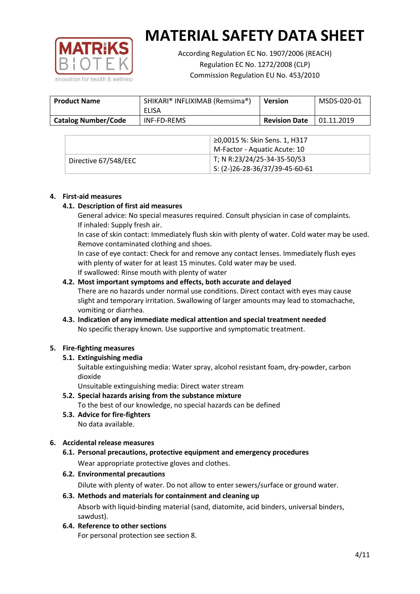

According Regulation EC No. 1907/2006 (REACH) Regulation EC No. 1272/2008 (CLP) Commission Regulation EU No. 453/2010

| <b>Product Name</b>        | SHIKARI® INFLIXIMAB (Remsima®)<br>ELISA | <b>Version</b>       | MSDS-020-01 |
|----------------------------|-----------------------------------------|----------------------|-------------|
| <b>Catalog Number/Code</b> | <b>INF-FD-REMS</b>                      | <b>Revision Date</b> | 01.11.2019  |

|                      | ≥0,0015 %: Skin Sens. 1, H317                |
|----------------------|----------------------------------------------|
|                      | M-Factor - Aquatic Acute: 10                 |
| Directive 67/548/EEC | T; N R:23/24/25-34-35-50/53                  |
|                      | $\frac{1}{2}$ S: (2-)26-28-36/37/39-45-60-61 |

#### **4. First-aid measures**

#### **4.1. Description of first aid measures**

General advice: No special measures required. Consult physician in case of complaints. If inhaled: Supply fresh air.

In case of skin contact: Immediately flush skin with plenty of water. Cold water may be used. Remove contaminated clothing and shoes.

In case of eye contact: Check for and remove any contact lenses. Immediately flush eyes with plenty of water for at least 15 minutes. Cold water may be used. If swallowed: Rinse mouth with plenty of water

#### **4.2. Most important symptoms and effects, both accurate and delayed**

There are no hazards under normal use conditions. Direct contact with eyes may cause slight and temporary irritation. Swallowing of larger amounts may lead to stomachache, vomiting or diarrhea.

# **4.3. Indication of any immediate medical attention and special treatment needed** No specific therapy known. Use supportive and symptomatic treatment.

# **5. Fire-fighting measures**

# **5.1. Extinguishing media**

Suitable extinguishing media: Water spray, alcohol resistant foam, dry-powder, carbon dioxide

Unsuitable extinguishing media: Direct water stream

- **5.2. Special hazards arising from the substance mixture** To the best of our knowledge, no special hazards can be defined
- **5.3. Advice for fire-fighters** No data available.

# **6. Accidental release measures**

- **6.1. Personal precautions, protective equipment and emergency procedures** Wear appropriate protective gloves and clothes.
- **6.2. Environmental precautions**

Dilute with plenty of water. Do not allow to enter sewers/surface or ground water.

#### **6.3. Methods and materials for containment and cleaning up**

Absorb with liquid-binding material (sand, diatomite, acid binders, universal binders, sawdust).

**6.4. Reference to other sections**

For personal protection see section 8.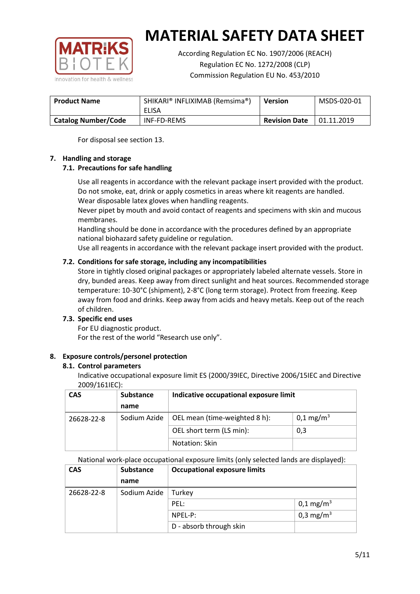

According Regulation EC No. 1907/2006 (REACH) Regulation EC No. 1272/2008 (CLP) Commission Regulation EU No. 453/2010

| <b>Product Name</b>        | SHIKARI® INFLIXIMAB (Remsima®)<br>ELISA | Version              | MSDS-020-01 |
|----------------------------|-----------------------------------------|----------------------|-------------|
| <b>Catalog Number/Code</b> | INF-FD-REMS                             | <b>Revision Date</b> | 01.11.2019  |

For disposal see section 13.

#### **7. Handling and storage**

# **7.1. Precautions for safe handling**

Use all reagents in accordance with the relevant package insert provided with the product. Do not smoke, eat, drink or apply cosmetics in areas where kit reagents are handled. Wear disposable latex gloves when handling reagents.

Never pipet by mouth and avoid contact of reagents and specimens with skin and mucous membranes.

Handling should be done in accordance with the procedures defined by an appropriate national biohazard safety guideline or regulation.

Use all reagents in accordance with the relevant package insert provided with the product.

# **7.2. Conditions for safe storage, including any incompatibilities**

Store in tightly closed original packages or appropriately labeled alternate vessels. Store in dry, bunded areas. Keep away from direct sunlight and heat sources. Recommended storage temperature: 10-30°C (shipment), 2-8°C (long term storage). Protect from freezing. Keep away from food and drinks. Keep away from acids and heavy metals. Keep out of the reach of children.

# **7.3. Specific end uses**

For EU diagnostic product. For the rest of the world "Research use only".

# **8. Exposure controls/personel protection**

#### **8.1. Control parameters**

Indicative occupational exposure limit ES (2000/39IEC, Directive 2006/15IEC and Directive 2009/161IEC):

| <b>CAS</b> | <b>Substance</b> | Indicative occupational exposure limit |                         |
|------------|------------------|----------------------------------------|-------------------------|
|            | name             |                                        |                         |
| 26628-22-8 | Sodium Azide     | OEL mean (time-weighted 8 h):          | $0,1 \,\mathrm{mg/m^3}$ |
|            |                  | OEL short term (LS min):               | 0,3                     |
|            |                  | Notation: Skin                         |                         |

National work-place occupational exposure limits (only selected lands are displayed):

| <b>CAS</b> | <b>Substance</b> | <b>Occupational exposure limits</b> |                         |  |
|------------|------------------|-------------------------------------|-------------------------|--|
|            | name             |                                     |                         |  |
| 26628-22-8 | Sodium Azide     | Turkey                              |                         |  |
|            |                  | PEL:                                | $0,1 \,\mathrm{mg/m^3}$ |  |
|            |                  | NPEL-P:                             | 0,3 mg/m <sup>3</sup>   |  |
|            |                  | D - absorb through skin             |                         |  |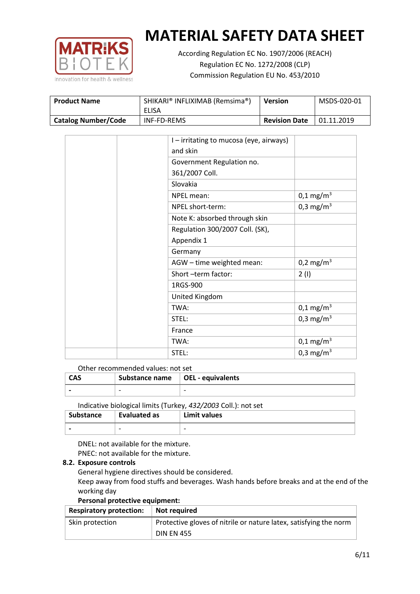

According Regulation EC No. 1907/2006 (REACH) Regulation EC No. 1272/2008 (CLP) Commission Regulation EU No. 453/2010

| <b>Product Name</b>        | SHIKARI® INFLIXIMAB (Remsima®)<br>ELISA | <b>Version</b>       | MSDS-020-01 |
|----------------------------|-----------------------------------------|----------------------|-------------|
| <b>Catalog Number/Code</b> | INF-FD-REMS                             | <b>Revision Date</b> | 01.11.2019  |

|  | I - irritating to mucosa (eye, airways) |                         |
|--|-----------------------------------------|-------------------------|
|  | and skin                                |                         |
|  | Government Regulation no.               |                         |
|  | 361/2007 Coll.                          |                         |
|  | Slovakia                                |                         |
|  | NPEL mean:                              | $0,1 \,\mathrm{mg/m^3}$ |
|  | NPEL short-term:                        | $0,3 \text{ mg/m}^3$    |
|  | Note K: absorbed through skin           |                         |
|  | Regulation 300/2007 Coll. (SK),         |                         |
|  | Appendix 1                              |                         |
|  | Germany                                 |                         |
|  | AGW - time weighted mean:               | 0,2 mg/m <sup>3</sup>   |
|  | Short-term factor:                      | 2(1)                    |
|  | 1RGS-900                                |                         |
|  | United Kingdom                          |                         |
|  | TWA:                                    | $0,1 \,\mathrm{mg/m^3}$ |
|  | STEL:                                   | 0,3 mg/m <sup>3</sup>   |
|  | France                                  |                         |
|  | TWA:                                    | $0,1 \text{ mg/m}^3$    |
|  | STEL:                                   | 0,3 mg/m <sup>3</sup>   |

#### Other recommended values: not set

| <b>CAS</b> | Substance name $\vert$ OEL - equivalents |  |
|------------|------------------------------------------|--|
|            | $\overline{\phantom{0}}$                 |  |
|            |                                          |  |

Indicative biological limits (Turkey, *432/2003* Coll.): not set

| <b>Substance</b> | Evaluated as             | Limit values             |
|------------------|--------------------------|--------------------------|
|                  | $\overline{\phantom{0}}$ | $\overline{\phantom{0}}$ |

DNEL: not available for the mixture. PNEC: not available for the mixture.

# **8.2. Exposure controls**

General hygiene directives should be considered.

Keep away from food stuffs and beverages. Wash hands before breaks and at the end of the working day

#### **Personal protective equipment:**

| <b>Respiratory protection:</b> | Not required                                                      |
|--------------------------------|-------------------------------------------------------------------|
| Skin protection                | Protective gloves of nitrile or nature latex, satisfying the norm |
|                                | <b>DIN EN 455</b>                                                 |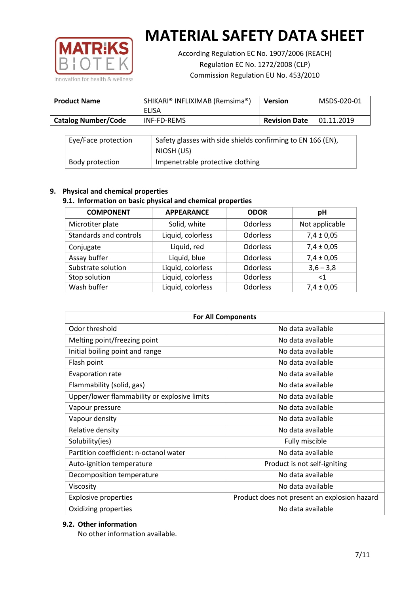

According Regulation EC No. 1907/2006 (REACH) Regulation EC No. 1272/2008 (CLP) Commission Regulation EU No. 453/2010

| <b>Product Name</b>        | SHIKARI® INFLIXIMAB (Remsima®)<br>ELISA | <b>Version</b>       | MSDS-020-01 |
|----------------------------|-----------------------------------------|----------------------|-------------|
| <b>Catalog Number/Code</b> | INF-FD-REMS                             | <b>Revision Date</b> | 01.11.2019  |

| Eye/Face protection | Safety glasses with side shields confirming to EN 166 (EN),<br>NIOSH (US) |
|---------------------|---------------------------------------------------------------------------|
| Body protection     | Impenetrable protective clothing                                          |

# **9. Physical and chemical properties**

# **9.1. Information on basic physical and chemical properties**

| <b>COMPONENT</b>       | <b>APPEARANCE</b> | <b>ODOR</b>     | рH             |
|------------------------|-------------------|-----------------|----------------|
| Microtiter plate       | Solid, white      | Odorless        | Not applicable |
| Standards and controls | Liquid, colorless | Odorless        | $7,4 \pm 0,05$ |
| Conjugate              | Liquid, red       | Odorless        | $7,4 \pm 0,05$ |
| Assay buffer           | Liquid, blue      | <b>Odorless</b> | $7,4 \pm 0,05$ |
| Substrate solution     | Liquid, colorless | Odorless        | $3,6 - 3,8$    |
| Stop solution          | Liquid, colorless | Odorless        | $<$ 1          |
| Wash buffer            | Liquid, colorless | Odorless        | $7,4 \pm 0,05$ |

| <b>For All Components</b>                    |                                              |  |  |
|----------------------------------------------|----------------------------------------------|--|--|
| Odor threshold                               | No data available                            |  |  |
| Melting point/freezing point                 | No data available                            |  |  |
| Initial boiling point and range              | No data available                            |  |  |
| Flash point                                  | No data available                            |  |  |
| <b>Evaporation rate</b>                      | No data available                            |  |  |
| Flammability (solid, gas)                    | No data available                            |  |  |
| Upper/lower flammability or explosive limits | No data available                            |  |  |
| Vapour pressure                              | No data available                            |  |  |
| Vapour density                               | No data available                            |  |  |
| Relative density                             | No data available                            |  |  |
| Solubility(ies)                              | Fully miscible                               |  |  |
| Partition coefficient: n-octanol water       | No data available                            |  |  |
| Auto-ignition temperature                    | Product is not self-igniting                 |  |  |
| Decomposition temperature                    | No data available                            |  |  |
| Viscosity                                    | No data available                            |  |  |
| <b>Explosive properties</b>                  | Product does not present an explosion hazard |  |  |
| Oxidizing properties                         | No data available                            |  |  |

# **9.2. Other information**

No other information available.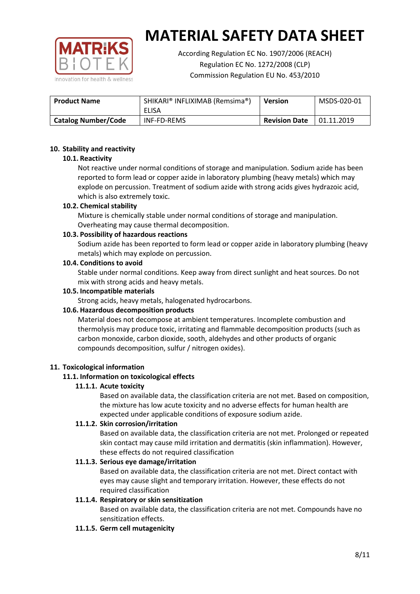

According Regulation EC No. 1907/2006 (REACH) Regulation EC No. 1272/2008 (CLP) Commission Regulation EU No. 453/2010

| <b>Product Name</b>        | SHIKARI® INFLIXIMAB (Remsima®)<br>ELISA | <b>Version</b>       | MSDS-020-01 |
|----------------------------|-----------------------------------------|----------------------|-------------|
| <b>Catalog Number/Code</b> | INF-FD-REMS                             | <b>Revision Date</b> | 01.11.2019  |

#### **10. Stability and reactivity**

#### **10.1. Reactivity**

Not reactive under normal conditions of storage and manipulation. Sodium azide has been reported to form lead or copper azide in laboratory plumbing (heavy metals) which may explode on percussion. Treatment of sodium azide with strong acids gives hydrazoic acid, which is also extremely toxic.

#### **10.2. Chemical stability**

Mixture is chemically stable under normal conditions of storage and manipulation. Overheating may cause thermal decomposition.

#### **10.3. Possibility of hazardous reactions**

Sodium azide has been reported to form lead or copper azide in laboratory plumbing (heavy metals) which may explode on percussion.

#### **10.4. Conditions to avoid**

Stable under normal conditions. Keep away from direct sunlight and heat sources. Do not mix with strong acids and heavy metals.

#### **10.5. Incompatible materials**

Strong acids, heavy metals, halogenated hydrocarbons.

# **10.6. Hazardous decomposition products**

Material does not decompose at ambient temperatures. Incomplete combustion and thermolysis may produce toxic, irritating and flammable decomposition products (such as carbon monoxide, carbon dioxide, sooth, aldehydes and other products of organic compounds decomposition, sulfur / nitrogen oxides).

#### **11. Toxicological information**

# **11.1. Information on toxicological effects**

# **11.1.1. Acute toxicity**

Based on available data, the classification criteria are not met. Based on composition, the mixture has low acute toxicity and no adverse effects for human health are expected under applicable conditions of exposure sodium azide.

# **11.1.2. Skin corrosion/irritation**

Based on available data, the classification criteria are not met. Prolonged or repeated skin contact may cause mild irritation and dermatitis (skin inflammation). However, these effects do not required classification

# **11.1.3. Serious eye damage/irritation**

Based on available data, the classification criteria are not met. Direct contact with eyes may cause slight and temporary irritation. However, these effects do not required classification

# **11.1.4. Respiratory or skin sensitization**

Based on available data, the classification criteria are not met. Compounds have no sensitization effects.

#### **11.1.5. Germ cell mutagenicity**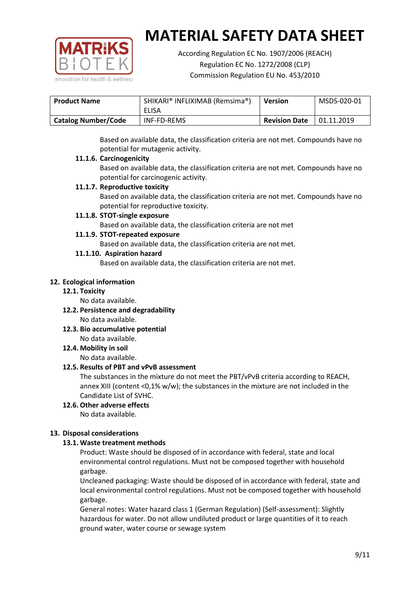

According Regulation EC No. 1907/2006 (REACH) Regulation EC No. 1272/2008 (CLP) Commission Regulation EU No. 453/2010

| <b>Product Name</b> | SHIKARI® INFLIXIMAB (Remsima®)<br>ELISA | <b>Version</b>       | MSDS-020-01 |
|---------------------|-----------------------------------------|----------------------|-------------|
| Catalog Number/Code | INF-FD-REMS                             | <b>Revision Date</b> | 01.11.2019  |

Based on available data, the classification criteria are not met. Compounds have no potential for mutagenic activity.

#### **11.1.6. Carcinogenicity**

Based on available data, the classification criteria are not met. Compounds have no potential for carcinogenic activity.

#### **11.1.7. Reproductive toxicity**

Based on available data, the classification criteria are not met. Compounds have no potential for reproductive toxicity.

#### **11.1.8. STOT-single exposure**

Based on available data, the classification criteria are not met

#### **11.1.9. STOT-repeated exposure**

Based on available data, the classification criteria are not met.

#### **11.1.10. Aspiration hazard**

Based on available data, the classification criteria are not met.

#### **12. Ecological information**

#### **12.1. Toxicity**

No data available.

- **12.2. Persistence and degradability** No data available.
- **12.3. Bio accumulative potential** No data available.

**12.4. Mobility in soil**

No data available.

# **12.5. Results of PBT and vPvB assessment**

The substances in the mixture do not meet the PBT/vPvB criteria according to REACH, annex XIII (content <0,1% w/w); the substances in the mixture are not included in the Candidate List of SVHC.

# **12.6. Other adverse effects**

No data available.

# **13. Disposal considerations**

# **13.1. Waste treatment methods**

Product: Waste should be disposed of in accordance with federal, state and local environmental control regulations. Must not be composed together with household garbage.

Uncleaned packaging: Waste should be disposed of in accordance with federal, state and local environmental control regulations. Must not be composed together with household garbage.

General notes: Water hazard class 1 (German Regulation) (Self-assessment): Slightly hazardous for water. Do not allow undiluted product or large quantities of it to reach ground water, water course or sewage system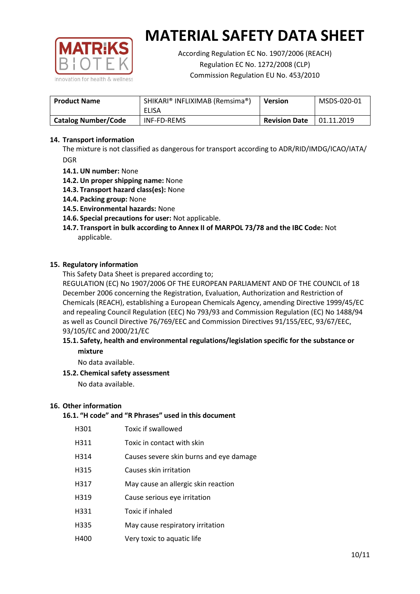

According Regulation EC No. 1907/2006 (REACH) Regulation EC No. 1272/2008 (CLP) Commission Regulation EU No. 453/2010

| <b>Product Name</b>        | SHIKARI® INFLIXIMAB (Remsima®)<br>ELISA | <b>Version</b>       | MSDS-020-01 |
|----------------------------|-----------------------------------------|----------------------|-------------|
| <b>Catalog Number/Code</b> | <b>INF-FD-REMS</b>                      | <b>Revision Date</b> | 01.11.2019  |

### **14. Transport information**

The mixture is not classified as dangerous for transport according to ADR/RID/IMDG/ICAO/IATA/ DGR

- **14.1. UN number:** None
- **14.2. Un proper shipping name:** None
- **14.3. Transport hazard class(es):** None
- **14.4. Packing group:** None
- **14.5. Environmental hazards:** None
- **14.6. Special precautions for user:** Not applicable.
- **14.7. Transport in bulk according to Annex II of MARPOL 73/78 and the IBC Code:** Not applicable.

#### **15. Regulatory information**

This Safety Data Sheet is prepared according to;

REGULATION (EC) No 1907/2006 OF THE EUROPEAN PARLIAMENT AND OF THE COUNCIL of 18 December 2006 concerning the Registration, Evaluation, Authorization and Restriction of Chemicals (REACH), establishing a European Chemicals Agency, amending Directive 1999/45/EC and repealing Council Regulation (EEC) No 793/93 and Commission Regulation (EC) No 1488/94 as well as Council Directive 76/769/EEC and Commission Directives 91/155/EEC, 93/67/EEC, 93/105/EC and 2000/21/EC

#### **15.1. Safety, health and environmental regulations/legislation specific for the substance or mixture**

No data available.

# **15.2. Chemical safety assessment**

No data available.

#### **16. Other information**

# **16.1. "H code" and "R Phrases" used in this document**

| H301 | Toxic if swallowed |
|------|--------------------|
|------|--------------------|

- H311 Toxic in contact with skin
- H314 Causes severe skin burns and eye damage
- H315 Causes skin irritation
- H317 May cause an allergic skin reaction
- H319 Cause serious eye irritation
- H331 Toxic if inhaled
- H335 May cause respiratory irritation
- H400 Very toxic to aquatic life